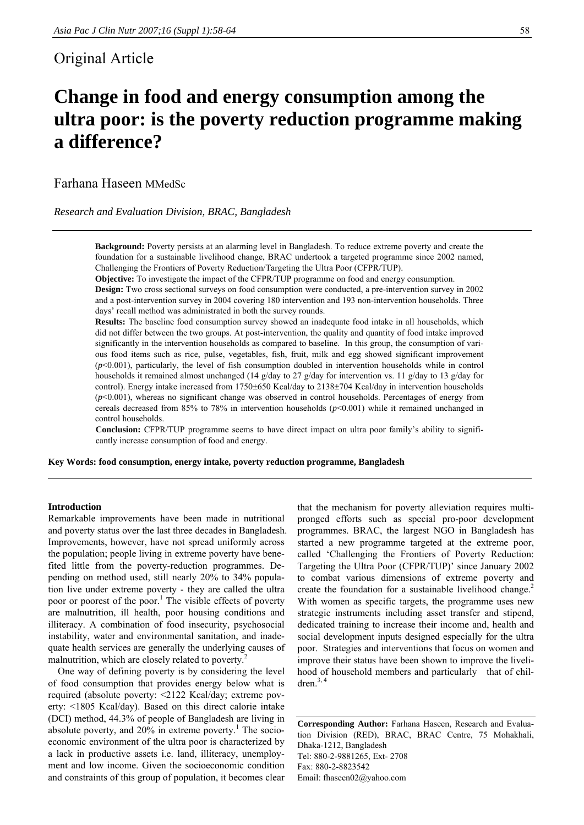# Original Article

# **Change in food and energy consumption among the ultra poor: is the poverty reduction programme making a difference?**

Farhana Haseen MMedSc

*Research and Evaluation Division, BRAC, Bangladesh* 

**Background:** Poverty persists at an alarming level in Bangladesh. To reduce extreme poverty and create the foundation for a sustainable livelihood change, BRAC undertook a targeted programme since 2002 named, Challenging the Frontiers of Poverty Reduction/Targeting the Ultra Poor (CFPR/TUP).

**Objective:** To investigate the impact of the CFPR/TUP programme on food and energy consumption.

**Design:** Two cross sectional surveys on food consumption were conducted, a pre-intervention survey in 2002 and a post-intervention survey in 2004 covering 180 intervention and 193 non-intervention households. Three days' recall method was administrated in both the survey rounds.

**Results:** The baseline food consumption survey showed an inadequate food intake in all households, which did not differ between the two groups. At post-intervention, the quality and quantity of food intake improved significantly in the intervention households as compared to baseline. In this group, the consumption of various food items such as rice, pulse, vegetables, fish, fruit, milk and egg showed significant improvement  $(p<0.001)$ , particularly, the level of fish consumption doubled in intervention households while in control households it remained almost unchanged (14 g/day to 27 g/day for intervention vs. 11 g/day to 13 g/day for control). Energy intake increased from 1750±650 Kcal/day to 2138±704 Kcal/day in intervention households (*p*<0.001), whereas no significant change was observed in control households. Percentages of energy from cereals decreased from 85% to 78% in intervention households  $(p<0.001)$  while it remained unchanged in control households.

**Conclusion:** CFPR/TUP programme seems to have direct impact on ultra poor family's ability to significantly increase consumption of food and energy.

**Key Words: food consumption, energy intake, poverty reduction programme, Bangladesh** 

# **Introduction**

Remarkable improvements have been made in nutritional and poverty status over the last three decades in Bangladesh. Improvements, however, have not spread uniformly across the population; people living in extreme poverty have benefited little from the poverty-reduction programmes. Depending on method used, still nearly 20% to 34% population live under extreme poverty - they are called the ultra poor or poorest of the poor.<sup>1</sup> The visible effects of poverty are malnutrition, ill health, poor housing conditions and illiteracy. A combination of food insecurity, psychosocial instability, water and environmental sanitation, and inadequate health services are generally the underlying causes of malnutrition, which are closely related to poverty.<sup>2</sup>

One way of defining poverty is by considering the level of food consumption that provides energy below what is required (absolute poverty: <2122 Kcal/day; extreme poverty: <1805 Kcal/day). Based on this direct calorie intake (DCI) method, 44.3% of people of Bangladesh are living in absolute poverty, and  $20\%$  in extreme poverty.<sup>1</sup> The socioeconomic environment of the ultra poor is characterized by a lack in productive assets i.e. land, illiteracy, unemployment and low income. Given the socioeconomic condition and constraints of this group of population, it becomes clear

that the mechanism for poverty alleviation requires multipronged efforts such as special pro-poor development programmes. BRAC, the largest NGO in Bangladesh has started a new programme targeted at the extreme poor, called 'Challenging the Frontiers of Poverty Reduction: Targeting the Ultra Poor (CFPR/TUP)' since January 2002 to combat various dimensions of extreme poverty and create the foundation for a sustainable livelihood change.<sup>2</sup> With women as specific targets, the programme uses new strategic instruments including asset transfer and stipend, dedicated training to increase their income and, health and social development inputs designed especially for the ultra poor. Strategies and interventions that focus on women and improve their status have been shown to improve the livelihood of household members and particularly that of children. $3, 4$ 

**Corresponding Author:** Farhana Haseen, Research and Evaluation Division (RED), BRAC, BRAC Centre, 75 Mohakhali, Dhaka-1212, Bangladesh Tel: 880-2-9881265, Ext- 2708 Fax: 880-2-8823542 Email: fhaseen02@yahoo.com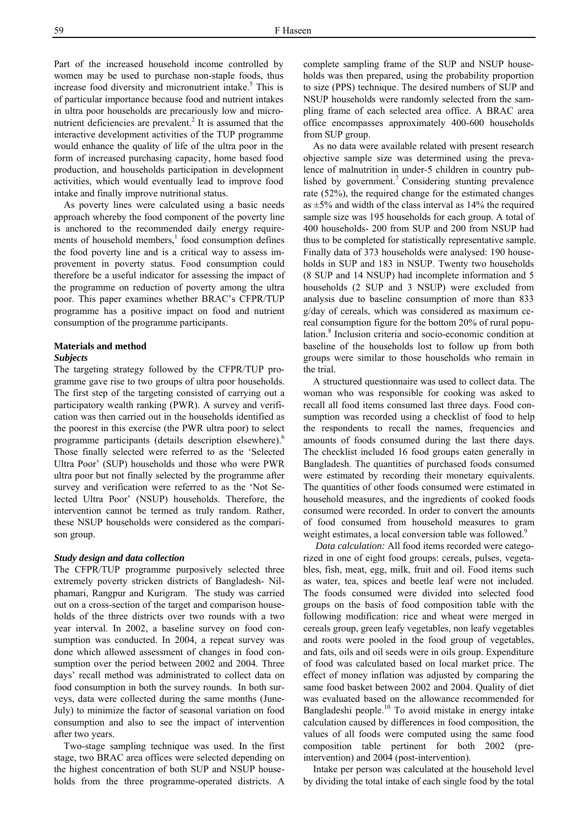Part of the increased household income controlled by women may be used to purchase non-staple foods, thus increase food diversity and micronutrient intake.<sup>5</sup> This is of particular importance because food and nutrient intakes in ultra poor households are precariously low and micronutrient deficiencies are prevalent.<sup>2</sup> It is assumed that the interactive development activities of the TUP programme would enhance the quality of life of the ultra poor in the form of increased purchasing capacity, home based food production, and households participation in development activities, which would eventually lead to improve food intake and finally improve nutritional status.

As poverty lines were calculated using a basic needs approach whereby the food component of the poverty line is anchored to the recommended daily energy requirements of household members,<sup>1</sup> food consumption defines the food poverty line and is a critical way to assess improvement in poverty status. Food consumption could therefore be a useful indicator for assessing the impact of the programme on reduction of poverty among the ultra poor. This paper examines whether BRAC's CFPR/TUP programme has a positive impact on food and nutrient consumption of the programme participants.

# **Materials and method**

## *Subjects*

The targeting strategy followed by the CFPR/TUP programme gave rise to two groups of ultra poor households. The first step of the targeting consisted of carrying out a participatory wealth ranking (PWR). A survey and verification was then carried out in the households identified as the poorest in this exercise (the PWR ultra poor) to select programme participants (details description elsewhere).<sup>6</sup> Those finally selected were referred to as the 'Selected Ultra Poor' (SUP) households and those who were PWR ultra poor but not finally selected by the programme after survey and verification were referred to as the 'Not Selected Ultra Poor' (NSUP) households. Therefore, the intervention cannot be termed as truly random. Rather, these NSUP households were considered as the comparison group.

# *Study design and data collection*

The CFPR/TUP programme purposively selected three extremely poverty stricken districts of Bangladesh- Nilphamari, Rangpur and Kurigram. The study was carried out on a cross-section of the target and comparison households of the three districts over two rounds with a two year interval. In 2002, a baseline survey on food consumption was conducted. In 2004, a repeat survey was done which allowed assessment of changes in food consumption over the period between 2002 and 2004. Three days' recall method was administrated to collect data on food consumption in both the survey rounds. In both surveys, data were collected during the same months (June-July) to minimize the factor of seasonal variation on food consumption and also to see the impact of intervention after two years.

Two-stage sampling technique was used. In the first stage, two BRAC area offices were selected depending on the highest concentration of both SUP and NSUP households from the three programme-operated districts. A complete sampling frame of the SUP and NSUP households was then prepared, using the probability proportion to size (PPS) technique. The desired numbers of SUP and NSUP households were randomly selected from the sampling frame of each selected area office. A BRAC area office encompasses approximately 400-600 households from SUP group.

As no data were available related with present research objective sample size was determined using the prevalence of malnutrition in under-5 children in country published by government.<sup>7</sup> Considering stunting prevalence rate (52%), the required change for the estimated changes as  $\pm$ 5% and width of the class interval as 14% the required sample size was 195 households for each group. A total of 400 households- 200 from SUP and 200 from NSUP had thus to be completed for statistically representative sample. Finally data of 373 households were analysed: 190 households in SUP and 183 in NSUP. Twenty two households (8 SUP and 14 NSUP) had incomplete information and 5 households (2 SUP and 3 NSUP) were excluded from analysis due to baseline consumption of more than 833 g/day of cereals, which was considered as maximum cereal consumption figure for the bottom 20% of rural population.<sup>8</sup> Inclusion criteria and socio-economic condition at baseline of the households lost to follow up from both groups were similar to those households who remain in the trial.

A structured questionnaire was used to collect data. The woman who was responsible for cooking was asked to recall all food items consumed last three days. Food consumption was recorded using a checklist of food to help the respondents to recall the names, frequencies and amounts of foods consumed during the last there days. The checklist included 16 food groups eaten generally in Bangladesh. The quantities of purchased foods consumed were estimated by recording their monetary equivalents. The quantities of other foods consumed were estimated in household measures, and the ingredients of cooked foods consumed were recorded. In order to convert the amounts of food consumed from household measures to gram weight estimates, a local conversion table was followed.<sup>9</sup>

*Data calculation:* All food items recorded were categorized in one of eight food groups: cereals, pulses, vegetables, fish, meat, egg, milk, fruit and oil. Food items such as water, tea, spices and beetle leaf were not included. The foods consumed were divided into selected food groups on the basis of food composition table with the following modification: rice and wheat were merged in cereals group, green leafy vegetables, non leafy vegetables and roots were pooled in the food group of vegetables, and fats, oils and oil seeds were in oils group. Expenditure of food was calculated based on local market price. The effect of money inflation was adjusted by comparing the same food basket between 2002 and 2004. Quality of diet was evaluated based on the allowance recommended for Bangladeshi people.10 To avoid mistake in energy intake calculation caused by differences in food composition, the values of all foods were computed using the same food composition table pertinent for both 2002 (preintervention) and 2004 (post-intervention).

Intake per person was calculated at the household level by dividing the total intake of each single food by the total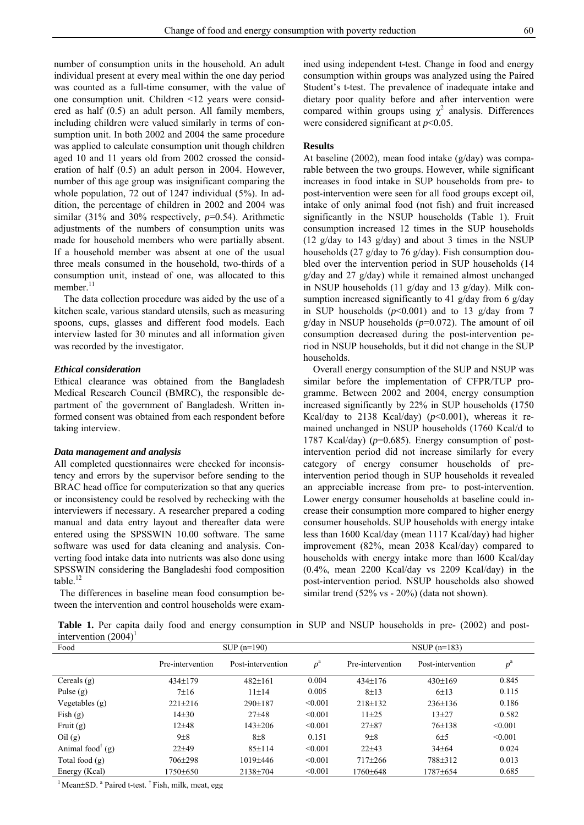number of consumption units in the household. An adult individual present at every meal within the one day period was counted as a full-time consumer, with the value of one consumption unit. Children <12 years were considered as half (0.5) an adult person. All family members, including children were valued similarly in terms of consumption unit. In both 2002 and 2004 the same procedure was applied to calculate consumption unit though children aged 10 and 11 years old from 2002 crossed the consideration of half (0.5) an adult person in 2004. However, number of this age group was insignificant comparing the whole population, 72 out of 1247 individual (5%). In addition, the percentage of children in 2002 and 2004 was similar (31% and 30% respectively,  $p=0.54$ ). Arithmetic adjustments of the numbers of consumption units was made for household members who were partially absent. If a household member was absent at one of the usual three meals consumed in the household, two-thirds of a consumption unit, instead of one, was allocated to this member.<sup>11</sup>

The data collection procedure was aided by the use of a kitchen scale, various standard utensils, such as measuring spoons, cups, glasses and different food models. Each interview lasted for 30 minutes and all information given was recorded by the investigator.

#### *Ethical consideration*

Ethical clearance was obtained from the Bangladesh Medical Research Council (BMRC), the responsible department of the government of Bangladesh. Written informed consent was obtained from each respondent before taking interview.

#### *Data management and analysis*

All completed questionnaires were checked for inconsistency and errors by the supervisor before sending to the BRAC head office for computerization so that any queries or inconsistency could be resolved by rechecking with the interviewers if necessary. A researcher prepared a coding manual and data entry layout and thereafter data were entered using the SPSSWIN 10.00 software. The same software was used for data cleaning and analysis. Converting food intake data into nutrients was also done using SPSSWIN considering the Bangladeshi food composition table. $^{12}$ 

The differences in baseline mean food consumption between the intervention and control households were exam-

ined using independent t-test. Change in food and energy consumption within groups was analyzed using the Paired Student's t-test. The prevalence of inadequate intake and dietary poor quality before and after intervention were compared within groups using  $\chi^2$  analysis. Differences were considered significant at *p*<0.05.

# **Results**

At baseline (2002), mean food intake (g/day) was comparable between the two groups. However, while significant increases in food intake in SUP households from pre- to post-intervention were seen for all food groups except oil, intake of only animal food (not fish) and fruit increased significantly in the NSUP households (Table 1). Fruit consumption increased 12 times in the SUP households (12 g/day to 143 g/day) and about 3 times in the NSUP households (27 g/day to 76 g/day). Fish consumption doubled over the intervention period in SUP households (14 g/day and 27 g/day) while it remained almost unchanged in NSUP households (11 g/day and 13 g/day). Milk consumption increased significantly to 41 g/day from 6 g/day in SUP households  $(p<0.001)$  and to 13 g/day from 7 g/day in NSUP households (*p*=0.072). The amount of oil consumption decreased during the post-intervention period in NSUP households, but it did not change in the SUP households.

Overall energy consumption of the SUP and NSUP was similar before the implementation of CFPR/TUP programme. Between 2002 and 2004, energy consumption increased significantly by 22% in SUP households (1750 Kcal/day to 2138 Kcal/day)  $(p<0.001)$ , whereas it remained unchanged in NSUP households (1760 Kcal/d to 1787 Kcal/day) (*p*=0.685). Energy consumption of postintervention period did not increase similarly for every category of energy consumer households of preintervention period though in SUP households it revealed an appreciable increase from pre- to post-intervention. Lower energy consumer households at baseline could increase their consumption more compared to higher energy consumer households. SUP households with energy intake less than 1600 Kcal/day (mean 1117 Kcal/day) had higher improvement (82%, mean 2038 Kcal/day) compared to households with energy intake more than l600 Kcal/day (0.4%, mean 2200 Kcal/day vs 2209 Kcal/day) in the post-intervention period. NSUP households also showed similar trend (52% vs - 20%) (data not shown).

Table 1. Per capita daily food and energy consumption in SUP and NSUP households in pre- (2002) and postintervention  $(2004)^1$ 

| Food                                            |                  | $SUP (n=190)$     |             |                  | NSUP $(n=183)$    |             |
|-------------------------------------------------|------------------|-------------------|-------------|------------------|-------------------|-------------|
|                                                 | Pre-intervention | Post-intervention | $p^{\rm a}$ | Pre-intervention | Post-intervention | $p^{\rm a}$ |
| Cereals $(g)$                                   | $434+179$        | $482+161$         | 0.004       | $434+176$        | $430+169$         | 0.845       |
| Pulse $(g)$                                     | $7+16$           | $11 \pm 14$       | 0.005       | $8 + 13$         | 6±13              | 0.115       |
| Vegetables $(g)$                                | $221 \pm 216$    | $290+187$         | < 0.001     | $218 \pm 132$    | $236 \pm 136$     | 0.186       |
| Fish $(g)$                                      | $14+30$          | $27 + 48$         | < 0.001     | $11 + 25$        | $13 + 27$         | 0.582       |
| Fruit $(g)$                                     | $12 + 48$        | $143 \pm 206$     | < 0.001     | $27 + 87$        | $76 \pm 138$      | < 0.001     |
| ceil(g)                                         | $9\pm8$          | $8\pm8$           | 0.151       | $9\pm8$          | 6±5               | < 0.001     |
| Animal food <sup><math>\dagger</math></sup> (g) | $22+49$          | $85 \pm 114$      | < 0.001     | $22+43$          | $34 \pm 64$       | 0.024       |
| Total food $(g)$                                | 706±298          | $1019 + 446$      | < 0.001     | $717 + 266$      | 788±312           | 0.013       |
| Energy (Kcal)                                   | 1750±650         | $2138 + 704$      | < 0.001     | 1760+648         | 1787±654          | 0.685       |

<sup>1</sup> Mean±SD. <sup>a</sup> Paired t-test. <sup>†</sup> Fish, milk, meat, egg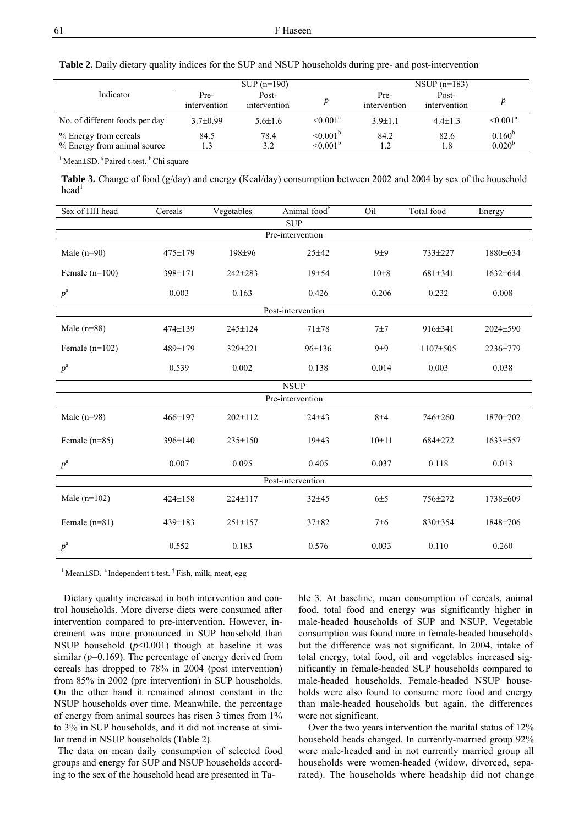**Table 2.** Daily dietary quality indices for the SUP and NSUP households during pre- and post-intervention

|                                                      |                      | $SUP (n=190)$         |                                  | $NSUP (n=183)$       |                       |                            |
|------------------------------------------------------|----------------------|-----------------------|----------------------------------|----------------------|-----------------------|----------------------------|
| Indicator                                            | Pre-<br>intervention | Post-<br>intervention |                                  | Pre-<br>intervention | Post-<br>intervention |                            |
| No. of different foods per day                       | $3.7\pm0.99$         | $5.6 \pm 1.6$         | $\leq 0.001^a$                   | $3.9 \pm 1.1$        | $4.4 \pm 1.3$         | $\leq 0.001^a$             |
| % Energy from cereals<br>% Energy from animal source | 84.5<br>1.3          | 78.4<br>3.2           | $\leq 0.001^b$<br>$\leq 0.001^b$ | 84.2<br>1.2          | 82.6<br>1.8           | $0.160^{b}$<br>$0.020^{b}$ |

 $<sup>1</sup>$  Mean $\pm$ SD.  $<sup>a</sup>$  Paired t-test.  $<sup>b</sup>$  Chi square</sup></sup></sup>

Table 3. Change of food (g/day) and energy (Kcal/day) consumption between 2002 and 2004 by sex of the household  $head<sup>1</sup>$ 

| Sex of HH head    | Cereals       | Vegetables    | Animal food <sup>†</sup> | Oil      | Total food | Energy   |  |  |
|-------------------|---------------|---------------|--------------------------|----------|------------|----------|--|--|
|                   |               |               | <b>SUP</b>               |          |            |          |  |  |
| Pre-intervention  |               |               |                          |          |            |          |  |  |
| Male $(n=90)$     | 475±179       | 198±96        | $25 + 42$                | $9+9$    | 733±227    | 1880±634 |  |  |
| Female $(n=100)$  | 398±171       | 242±283       | 19±54                    | $10\pm8$ | 681±341    | 1632±644 |  |  |
| $p^{\rm a}$       | 0.003         | 0.163         | 0.426                    | 0.206    | 0.232      | 0.008    |  |  |
|                   |               |               | Post-intervention        |          |            |          |  |  |
| Male $(n=88)$     | $474 \pm 139$ | $245 \pm 124$ | $71 + 78$                | 7±7      | 916±341    | 2024±590 |  |  |
| Female $(n=102)$  | 489±179       | 329±221       | $96 \pm 136$             | 9±9      | 1107±505   | 2236±779 |  |  |
| $p^{\rm a}$       | 0.539         | 0.002         | 0.138                    | 0.014    | 0.003      | 0.038    |  |  |
| <b>NSUP</b>       |               |               |                          |          |            |          |  |  |
|                   |               |               | Pre-intervention         |          |            |          |  |  |
| Male $(n=98)$     | 466±197       | 202±112       | $24 + 43$                | $8\pm4$  | 746±260    | 1870±702 |  |  |
| Female $(n=85)$   | 396±140       | $235 \pm 150$ | 19±43                    | 10±11    | 684±272    | 1633±557 |  |  |
| $p^{\rm a}$       | 0.007         | 0.095         | 0.405                    | 0.037    | 0.118      | 0.013    |  |  |
| Post-intervention |               |               |                          |          |            |          |  |  |
| Male $(n=102)$    | 424±158       | 224±117       | $32 + 45$                | 6±5      | 756±272    | 1738±609 |  |  |
| Female $(n=81)$   | 439±183       | 251±157       | 37±82                    | 7±6      | 830±354    | 1848±706 |  |  |
| $p^{\rm a}$       | 0.552         | 0.183         | 0.576                    | 0.033    | 0.110      | 0.260    |  |  |

 $1$  Mean $\pm$ SD.  $^{\text{a}}$  Independent t-test.  $^{\dagger}$  Fish, milk, meat, egg

Dietary quality increased in both intervention and control households. More diverse diets were consumed after intervention compared to pre-intervention. However, increment was more pronounced in SUP household than NSUP household  $(p<0.001)$  though at baseline it was similar  $(p=0.169)$ . The percentage of energy derived from cereals has dropped to 78% in 2004 (post intervention) from 85% in 2002 (pre intervention) in SUP households. On the other hand it remained almost constant in the NSUP households over time. Meanwhile, the percentage of energy from animal sources has risen 3 times from 1% to 3% in SUP households, and it did not increase at similar trend in NSUP households (Table 2).

The data on mean daily consumption of selected food groups and energy for SUP and NSUP households according to the sex of the household head are presented in Table 3. At baseline, mean consumption of cereals, animal food, total food and energy was significantly higher in male-headed households of SUP and NSUP. Vegetable consumption was found more in female-headed households but the difference was not significant. In 2004, intake of total energy, total food, oil and vegetables increased significantly in female-headed SUP households compared to male-headed households. Female-headed NSUP households were also found to consume more food and energy than male-headed households but again, the differences were not significant.

Over the two years intervention the marital status of 12% household heads changed. In currently-married group 92% were male-headed and in not currently married group all households were women-headed (widow, divorced, separated). The households where headship did not change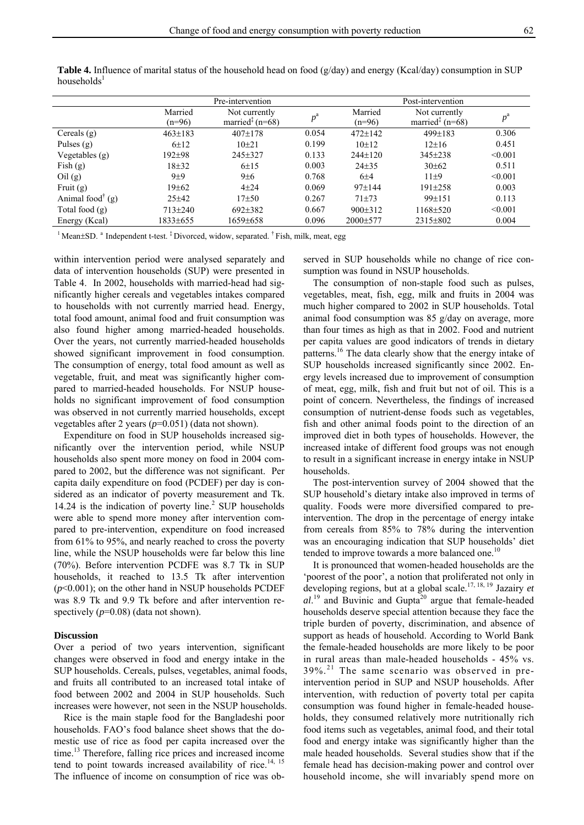|                                                 | Pre-intervention    |                                                                  |             | Post-intervention   |                                                                  |             |  |
|-------------------------------------------------|---------------------|------------------------------------------------------------------|-------------|---------------------|------------------------------------------------------------------|-------------|--|
|                                                 | Married<br>$(n=96)$ | Not currently<br>married <sup><math>\ddagger</math></sup> (n=68) | $p^{\rm a}$ | Married<br>$(n=96)$ | Not currently<br>married <sup><math>\ddagger</math></sup> (n=68) | $p^{\rm a}$ |  |
| Cereals $(g)$                                   | $463 \pm 183$       | $407 \pm 178$                                                    | 0.054       | $472 + 142$         | $499 \pm 183$                                                    | 0.306       |  |
| Pulses $(g)$                                    | $6+12$              | $10+21$                                                          | 0.199       | $10+12$             | $12\pm 16$                                                       | 0.451       |  |
| Vegetables $(g)$                                | $192 + 98$          | 245±327                                                          | 0.133       | $244+120$           | $345 \pm 238$                                                    | < 0.001     |  |
| Fish $(g)$                                      | $18+32$             | 6±15                                                             | 0.003       | $24 + 35$           | $30 \pm 62$                                                      | 0.511       |  |
| ceil(g)                                         | $9 + 9$             | 9±6                                                              | 0.768       | 6±4                 | $11\pm9$                                                         | < 0.001     |  |
| Fruit $(g)$                                     | 19±62               | $4 + 24$                                                         | 0.069       | $97 \pm 144$        | $191 \pm 258$                                                    | 0.003       |  |
| Animal food <sup><math>\dagger</math></sup> (g) | $25+42$             | $17 + 50$                                                        | 0.267       | $71 + 73$           | $99+151$                                                         | 0.113       |  |
| Total food $(g)$                                | $713 + 240$         | $692\pm382$                                                      | 0.667       | $900\pm312$         | 1168±520                                                         | < 0.001     |  |
| Energy (Kcal)                                   | 1833±655            | $1659 \pm 658$                                                   | 0.096       | $2000 \pm 577$      | $2315 \pm 802$                                                   | 0.004       |  |

**Table 4.** Influence of marital status of the household head on food (g/day) and energy (Kcal/day) consumption in SUP households $<sup>1</sup>$ </sup>

<sup>1</sup> Mean $\pm$ SD. <sup>a</sup> Independent t-test.  $\frac{1}{4}$  Divorced, widow, separated.  $\frac{1}{4}$  Fish, milk, meat, egg

within intervention period were analysed separately and data of intervention households (SUP) were presented in Table 4. In 2002, households with married-head had significantly higher cereals and vegetables intakes compared to households with not currently married head. Energy, total food amount, animal food and fruit consumption was also found higher among married-headed households. Over the years, not currently married-headed households showed significant improvement in food consumption. The consumption of energy, total food amount as well as vegetable, fruit, and meat was significantly higher compared to married-headed households. For NSUP households no significant improvement of food consumption was observed in not currently married households, except vegetables after 2 years (*p*=0.051) (data not shown).

Expenditure on food in SUP households increased significantly over the intervention period, while NSUP households also spent more money on food in 2004 compared to 2002, but the difference was not significant. Per capita daily expenditure on food (PCDEF) per day is considered as an indicator of poverty measurement and Tk. 14.24 is the indication of poverty line.<sup>2</sup> SUP households were able to spend more money after intervention compared to pre-intervention, expenditure on food increased from 61% to 95%, and nearly reached to cross the poverty line, while the NSUP households were far below this line (70%). Before intervention PCDFE was 8.7 Tk in SUP households, it reached to 13.5 Tk after intervention (*p*<0.001); on the other hand in NSUP households PCDEF was 8.9 Tk and 9.9 Tk before and after intervention respectively ( $p=0.08$ ) (data not shown).

#### **Discussion**

Over a period of two years intervention, significant changes were observed in food and energy intake in the SUP households. Cereals, pulses, vegetables, animal foods, and fruits all contributed to an increased total intake of food between 2002 and 2004 in SUP households. Such increases were however, not seen in the NSUP households.

Rice is the main staple food for the Bangladeshi poor households. FAO's food balance sheet shows that the domestic use of rice as food per capita increased over the time.<sup>13</sup> Therefore, falling rice prices and increased income tend to point towards increased availability of rice.<sup>14, 15</sup> The influence of income on consumption of rice was observed in SUP households while no change of rice consumption was found in NSUP households.

The consumption of non-staple food such as pulses, vegetables, meat, fish, egg, milk and fruits in 2004 was much higher compared to 2002 in SUP households. Total animal food consumption was 85 g/day on average, more than four times as high as that in 2002. Food and nutrient per capita values are good indicators of trends in dietary patterns.16 The data clearly show that the energy intake of SUP households increased significantly since 2002. Energy levels increased due to improvement of consumption of meat, egg, milk, fish and fruit but not of oil. This is a point of concern. Nevertheless, the findings of increased consumption of nutrient-dense foods such as vegetables, fish and other animal foods point to the direction of an improved diet in both types of households. However, the increased intake of different food groups was not enough to result in a significant increase in energy intake in NSUP households.

The post-intervention survey of 2004 showed that the SUP household's dietary intake also improved in terms of quality. Foods were more diversified compared to preintervention. The drop in the percentage of energy intake from cereals from 85% to 78% during the intervention was an encouraging indication that SUP households' diet tended to improve towards a more balanced one.<sup>10</sup>

It is pronounced that women-headed households are the 'poorest of the poor', a notion that proliferated not only in developing regions, but at a global scale.17, 18, 19 Jazairy *et*   $al$ <sup>19</sup> and Buvinic and Gupta<sup>20</sup> argue that female-headed households deserve special attention because they face the triple burden of poverty, discrimination, and absence of support as heads of household. According to World Bank the female-headed households are more likely to be poor in rural areas than male-headed households - 45% vs. 39%.21 The same scenario was observed in preintervention period in SUP and NSUP households. After intervention, with reduction of poverty total per capita consumption was found higher in female-headed households, they consumed relatively more nutritionally rich food items such as vegetables, animal food, and their total food and energy intake was significantly higher than the male headed households. Several studies show that if the female head has decision-making power and control over household income, she will invariably spend more on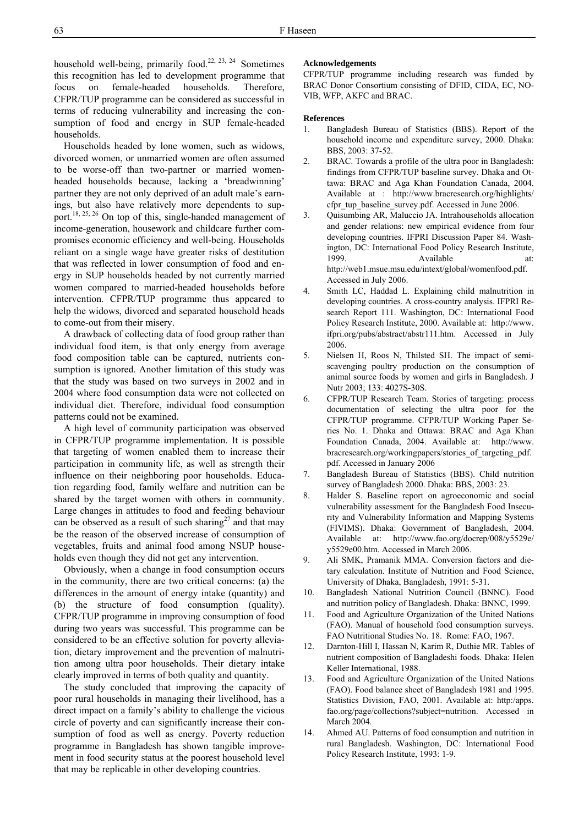household well-being, primarily food.22, 23, 24 Sometimes this recognition has led to development programme that focus on female-headed households. Therefore, CFPR/TUP programme can be considered as successful in terms of reducing vulnerability and increasing the consumption of food and energy in SUP female-headed households.

Households headed by lone women, such as widows, divorced women, or unmarried women are often assumed to be worse-off than two-partner or married womenheaded households because, lacking a 'breadwinning' partner they are not only deprived of an adult male's earnings, but also have relatively more dependents to support.<sup>18, 25, 26</sup> On top of this, single-handed management of income-generation, housework and childcare further compromises economic efficiency and well-being. Households reliant on a single wage have greater risks of destitution that was reflected in lower consumption of food and energy in SUP households headed by not currently married women compared to married-headed households before intervention. CFPR/TUP programme thus appeared to help the widows, divorced and separated household heads to come-out from their misery.

A drawback of collecting data of food group rather than individual food item, is that only energy from average food composition table can be captured, nutrients consumption is ignored. Another limitation of this study was that the study was based on two surveys in 2002 and in 2004 where food consumption data were not collected on individual diet. Therefore, individual food consumption patterns could not be examined.

 A high level of community participation was observed in CFPR/TUP programme implementation. It is possible that targeting of women enabled them to increase their participation in community life, as well as strength their influence on their neighboring poor households. Education regarding food, family welfare and nutrition can be shared by the target women with others in community. Large changes in attitudes to food and feeding behaviour can be observed as a result of such sharing<sup>27</sup> and that may be the reason of the observed increase of consumption of vegetables, fruits and animal food among NSUP households even though they did not get any intervention.

Obviously, when a change in food consumption occurs in the community, there are two critical concerns: (a) the differences in the amount of energy intake (quantity) and (b) the structure of food consumption (quality). CFPR/TUP programme in improving consumption of food during two years was successful. This programme can be considered to be an effective solution for poverty alleviation, dietary improvement and the prevention of malnutrition among ultra poor households. Their dietary intake clearly improved in terms of both quality and quantity.

The study concluded that improving the capacity of poor rural households in managing their livelihood, has a direct impact on a family's ability to challenge the vicious circle of poverty and can significantly increase their consumption of food as well as energy. Poverty reduction programme in Bangladesh has shown tangible improvement in food security status at the poorest household level that may be replicable in other developing countries.

# **Acknowledgements**

CFPR/TUP programme including research was funded by BRAC Donor Consortium consisting of DFID, CIDA, EC, NO-VIB, WFP, AKFC and BRAC.

#### **References**

- 1. Bangladesh Bureau of Statistics (BBS). Report of the household income and expenditure survey, 2000. Dhaka: BBS, 2003: 37-52.
- 2. BRAC. Towards a profile of the ultra poor in Bangladesh: findings from CFPR/TUP baseline survey. Dhaka and Ottawa: BRAC and Aga Khan Foundation Canada, 2004. Available at : http://www.bracresearch.org/highlights/ cfpr\_tup\_baseline\_survey.pdf. Accessed in June 2006.
- 3. Quisumbing AR, Maluccio JA. Intrahouseholds allocation and gender relations: new empirical evidence from four developing countries. IFPRI Discussion Paper 84. Washington, DC: International Food Policy Research Institute, 1999. **Available** at: http://web1.msue.msu.edu/intext/global/womenfood.pdf. Accessed in July 2006.
- 4. Smith LC, Haddad L. Explaining child malnutrition in developing countries. A cross-country analysis. IFPRI Research Report 111. Washington, DC: International Food Policy Research Institute, 2000. Available at: http://www. ifpri.org/pubs/abstract/abstr111.htm. Accessed in July 2006.
- 5. Nielsen H, Roos N, Thilsted SH. The impact of semiscavenging poultry production on the consumption of animal source foods by women and girls in Bangladesh. J Nutr 2003; 133: 4027S-30S.
- 6. CFPR/TUP Research Team. Stories of targeting: process documentation of selecting the ultra poor for the CFPR/TUP programme. CFPR/TUP Working Paper Series No. 1. Dhaka and Ottawa: BRAC and Aga Khan Foundation Canada, 2004. Available at: http://www. bracresearch.org/workingpapers/stories\_of\_targeting\_pdf. pdf. Accessed in January 2006
- 7. Bangladesh Bureau of Statistics (BBS). Child nutrition survey of Bangladesh 2000. Dhaka: BBS, 2003: 23.
- 8. Halder S. Baseline report on agroeconomic and social vulnerability assessment for the Bangladesh Food Insecurity and Vulnerability Information and Mapping Systems (FIVIMS). Dhaka: Government of Bangladesh, 2004. Available at: http://www.fao.org/docrep/008/y5529e/ y5529e00.htm. Accessed in March 2006.
- 9. Ali SMK, Pramanik MMA. Conversion factors and dietary calculation. Institute of Nutrition and Food Science, University of Dhaka, Bangladesh, 1991: 5-31.
- 10. Bangladesh National Nutrition Council (BNNC). Food and nutrition policy of Bangladesh. Dhaka: BNNC, 1999.
- 11. Food and Agriculture Organization of the United Nations (FAO). Manual of household food consumption surveys. FAO Nutritional Studies No. 18. Rome: FAO, 1967.
- 12. Darnton-Hill I, Hassan N, Karim R, Duthie MR. Tables of nutrient composition of Bangladeshi foods. Dhaka: Helen Keller International, 1988.
- 13. Food and Agriculture Organization of the United Nations (FAO). Food balance sheet of Bangladesh 1981 and 1995. Statistics Division, FAO, 2001. Available at: http:/apps. fao.org/page/collections?subject=nutrition. Accessed in March 2004.
- 14. Ahmed AU. Patterns of food consumption and nutrition in rural Bangladesh. Washington, DC: International Food Policy Research Institute, 1993: 1-9.